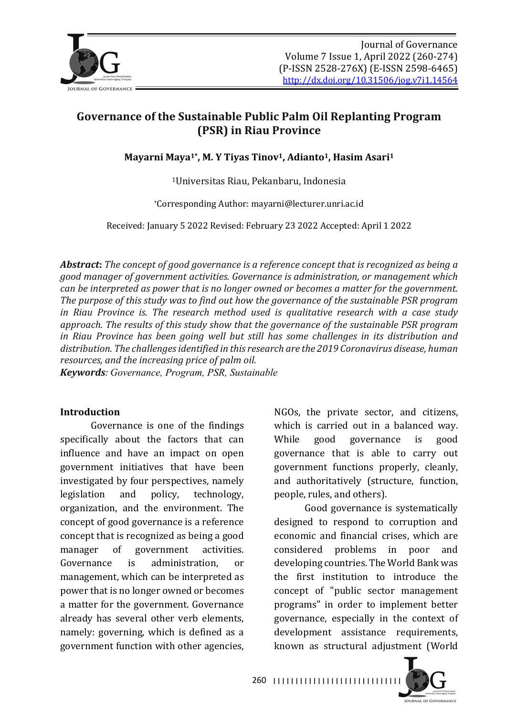

# Governance of the Sustainable Public Palm Oil Replanting Program **(PSR) in Riau Province**

Mayarni Maya<sup>1\*</sup>, M. Y Tiyas Tinov<sup>1</sup>, Adianto<sup>1</sup>, Hasim Asari<sup>1</sup>

<sup>1</sup>Universitas Riau, Pekanbaru, Indonesia

\*Corresponding Author: mayarni@lecturer.unri.ac.id

Received: January 5 2022 Revised: February 23 2022 Accepted: April 1 2022

*Abstract:* The concept of good governance is a reference concept that is recognized as being a *good manager of government activities. Governance is administration, or management which can be interpreted as power that is no longer owned or becomes a matter for the government.* The purpose of this study was to find out how the governance of the sustainable PSR program *in* Riau Province is. The research method used is qualitative research with a case study approach. The results of this study show that the governance of the sustainable PSR program *in* Riau Province has been going well but still has some challenges in its distribution and distribution. The challenges identified in this research are the 2019 Coronavirus disease, human *resources, and the increasing price of palm oil.* 

*Keywords: Governance, Program, PSR, Sustainable*

#### **Introduction**

Governance is one of the findings specifically about the factors that can influence and have an impact on open government initiatives that have been investigated by four perspectives, namely legislation and policy, technology, organization, and the environment. The concept of good governance is a reference concept that is recognized as being a good manager of government activities. Governance is administration, or management, which can be interpreted as power that is no longer owned or becomes a matter for the government. Governance already has several other verb elements, namely: governing, which is defined as a government function with other agencies,

NGOs, the private sector, and citizens, which is carried out in a balanced way. While good governance is good governance that is able to carry out government functions properly, cleanly, and authoritatively (structure, function, people, rules, and others).

Good governance is systematically designed to respond to corruption and economic and financial crises, which are considered problems in poor and developing countries. The World Bank was the first institution to introduce the concept of "public sector management programs" in order to implement better governance, especially in the context of development assistance requirements, known as structural adjustment (World

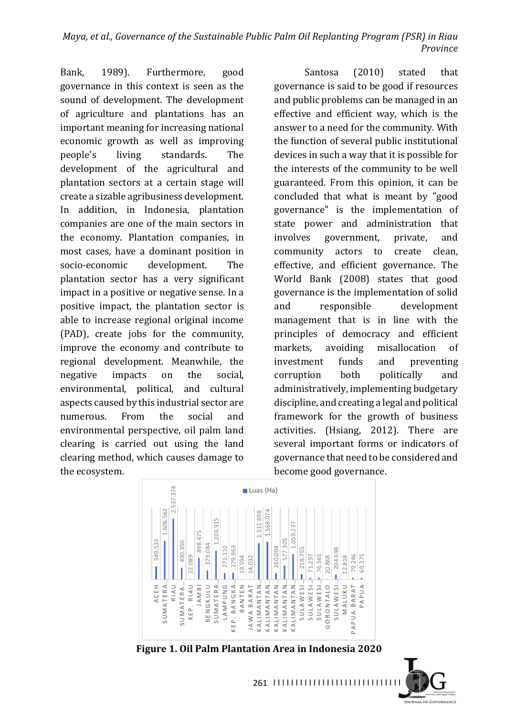Bank, 1989). Furthermore, good governance in this context is seen as the sound of development. The development of agriculture and plantations has an important meaning for increasing national economic growth as well as improving people's living standards. The development of the agricultural and plantation sectors at a certain stage will create a sizable agribusiness development. In addition, in Indonesia, plantation companies are one of the main sectors in the economy. Plantation companies, in most cases, have a dominant position in socio-economic development. The plantation sector has a very significant impact in a positive or negative sense. In a positive impact, the plantation sector is able to increase regional original income (PAD), create jobs for the community, improve the economy and contribute to regional development. Meanwhile, the negative impacts on the social, environmental, political, and cultural aspects caused by this industrial sector are numerous From the social and environmental perspective, oil palm land clearing is carried out using the land clearing method, which causes damage to the ecosystem.

Santosa (2010) stated that governance is said to be good if resources and public problems can be managed in an effective and efficient way, which is the answer to a need for the community. With the function of several public institutional devices in such a way that it is possible for the interests of the community to be well guaranteed. From this opinion, it can be concluded that what is meant by "good governance" is the implementation of state power and administration that involves government, private, and community actors to create clean. effective, and efficient governance. The World Bank (2008) states that good governance is the implementation of solid and responsible development management that is in line with the principles of democracy and efficient markets, avoiding misallocation of investment funds and preventing corruption both politically and administratively, implementing budgetary discipline, and creating a legal and political framework for the growth of business activities. (Hsiang, 2012). There are several important forms or indicators of governance that need to be considered and become good governance.



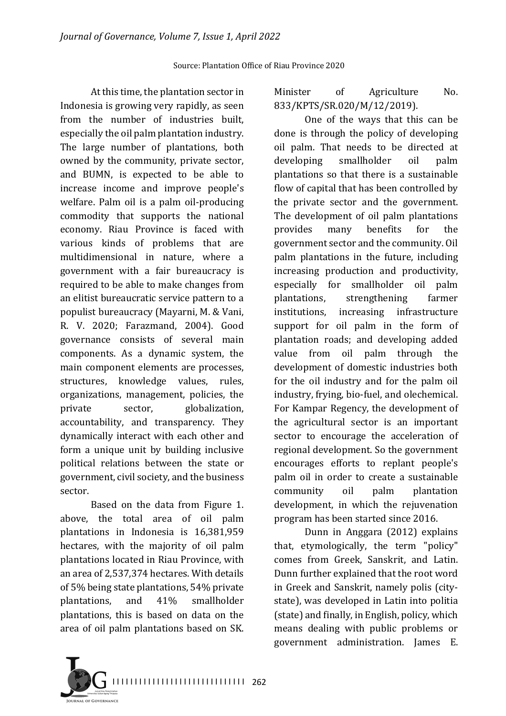At this time, the plantation sector in Indonesia is growing very rapidly, as seen from the number of industries built, especially the oil palm plantation industry. The large number of plantations, both owned by the community, private sector, and BUMN, is expected to be able to increase income and improve people's welfare. Palm oil is a palm oil-producing commodity that supports the national economy. Riau Province is faced with various kinds of problems that are multidimensional in nature, where a government with a fair bureaucracy is required to be able to make changes from an elitist bureaucratic service pattern to a populist bureaucracy (Mayarni, M. & Vani, R. V. 2020; Farazmand, 2004). Good governance consists of several main components. As a dynamic system, the main component elements are processes, structures, knowledge values, rules, organizations, management, policies, the private sector, globalization, accountability, and transparency. They dynamically interact with each other and form a unique unit by building inclusive political relations between the state or government, civil society, and the business sector.

Based on the data from Figure 1. above, the total area of oil palm plantations in Indonesia is 16,381,959 hectares, with the majority of oil palm plantations located in Riau Province, with an area of 2,537,374 hectares. With details of 5% being state plantations, 54% private plantations, and 41% smallholder plantations, this is based on data on the area of oil palm plantations based on SK.

Minister of Agriculture No. 833/KPTS/SR.020/M/12/2019).

One of the ways that this can be done is through the policy of developing oil palm. That needs to be directed at developing smallholder oil palm plantations so that there is a sustainable flow of capital that has been controlled by the private sector and the government. The development of oil palm plantations provides many benefits for the government sector and the community. Oil palm plantations in the future, including increasing production and productivity, especially for smallholder oil palm plantations, strengthening farmer institutions, increasing infrastructure support for oil palm in the form of plantation roads; and developing added value from oil palm through the development of domestic industries both for the oil industry and for the palm oil industry, frying, bio-fuel, and olechemical. For Kampar Regency, the development of the agricultural sector is an important sector to encourage the acceleration of regional development. So the government encourages efforts to replant people's palm oil in order to create a sustainable community oil palm plantation development, in which the rejuvenation program has been started since 2016.

Dunn in Anggara (2012) explains that, etymologically, the term "policy" comes from Greek, Sanskrit, and Latin. Dunn further explained that the root word in Greek and Sanskrit, namely polis (citystate), was developed in Latin into politia (state) and finally, in English, policy, which means dealing with public problems or government administration. James E.

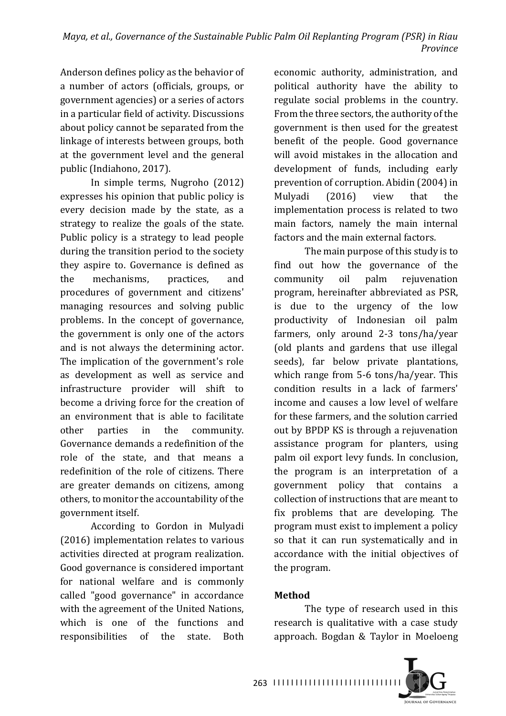Anderson defines policy as the behavior of a number of actors (officials, groups, or government agencies) or a series of actors in a particular field of activity. Discussions about policy cannot be separated from the linkage of interests between groups, both at the government level and the general public (Indiahono, 2017).

In simple terms, Nugroho (2012) expresses his opinion that public policy is every decision made by the state, as a strategy to realize the goals of the state. Public policy is a strategy to lead people during the transition period to the society they aspire to. Governance is defined as the mechanisms, practices, and procedures of government and citizens' managing resources and solving public problems. In the concept of governance, the government is only one of the actors and is not always the determining actor. The implication of the government's role as development as well as service and infrastructure provider will shift to become a driving force for the creation of an environment that is able to facilitate other parties in the community. Governance demands a redefinition of the role of the state, and that means a redefinition of the role of citizens. There are greater demands on citizens, among others, to monitor the accountability of the government itself.

According to Gordon in Mulyadi  $(2016)$  implementation relates to various activities directed at program realization. Good governance is considered important for national welfare and is commonly called "good governance" in accordance with the agreement of the United Nations, which is one of the functions and responsibilities of the state. Both

economic authority, administration, and political authority have the ability to regulate social problems in the country. From the three sectors, the authority of the government is then used for the greatest benefit of the people. Good governance will avoid mistakes in the allocation and development of funds, including early prevention of corruption. Abidin (2004) in Mulyadi (2016) view that the implementation process is related to two main factors, namely the main internal factors and the main external factors.

The main purpose of this study is to find out how the governance of the community oil palm rejuvenation program, hereinafter abbreviated as PSR, is due to the urgency of the low productivity of Indonesian oil palm farmers, only around 2-3 tons/ha/year (old plants and gardens that use illegal seeds), far below private plantations, which range from  $5-6$  tons/ha/year. This condition results in a lack of farmers' income and causes a low level of welfare for these farmers, and the solution carried out by BPDP KS is through a rejuvenation assistance program for planters, using palm oil export levy funds. In conclusion, the program is an interpretation of a government policy that contains a collection of instructions that are meant to fix problems that are developing. The program must exist to implement a policy so that it can run systematically and in accordance with the initial objectives of the program.

## **Method**

The type of research used in this research is qualitative with a case study approach. Bogdan & Taylor in Moeloeng



JOURNAL OF GOVERNANCE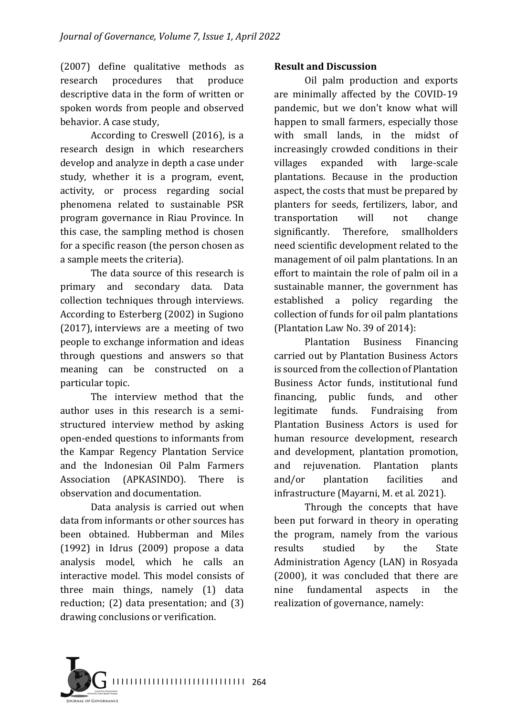(2007) define qualitative methods as research procedures that produce descriptive data in the form of written or spoken words from people and observed behavior. A case study,

According to Creswell  $(2016)$ , is a research design in which researchers develop and analyze in depth a case under study, whether it is a program, event, activity, or process regarding social phenomena related to sustainable PSR program governance in Riau Province. In this case, the sampling method is chosen for a specific reason (the person chosen as a sample meets the criteria).

The data source of this research is primary and secondary data. Data collection techniques through interviews. According to Esterberg (2002) in Sugiono  $(2017)$ , interviews are a meeting of two people to exchange information and ideas through questions and answers so that meaning can be constructed on a particular topic.

The interview method that the author uses in this research is a semistructured interview method by asking open-ended questions to informants from the Kampar Regency Plantation Service and the Indonesian Oil Palm Farmers Association (APKASINDO). There is observation and documentation.

Data analysis is carried out when data from informants or other sources has been obtained. Hubberman and Miles  $(1992)$  in Idrus  $(2009)$  propose a data analysis model, which he calls an interactive model. This model consists of three main things, namely  $(1)$  data reduction;  $(2)$  data presentation; and  $(3)$ drawing conclusions or verification.

#### **Result and Discussion**

Oil palm production and exports are minimally affected by the COVID-19 pandemic, but we don't know what will happen to small farmers, especially those with small lands, in the midst of increasingly crowded conditions in their villages expanded with large-scale plantations. Because in the production aspect, the costs that must be prepared by planters for seeds, fertilizers, labor, and transportation will not change significantly. Therefore, smallholders need scientific development related to the management of oil palm plantations. In an effort to maintain the role of palm oil in a sustainable manner, the government has established a policy regarding the collection of funds for oil palm plantations (Plantation Law No. 39 of 2014):

Plantation Business Financing carried out by Plantation Business Actors is sourced from the collection of Plantation Business Actor funds, institutional fund financing, public funds, and other legitimate funds. Fundraising from Plantation Business Actors is used for human resource development, research and development, plantation promotion, and rejuvenation. Plantation plants and/or plantation facilities and infrastructure (Mayarni, M. et al. 2021).

Through the concepts that have been put forward in theory in operating the program, namely from the various results studied by the State Administration Agency (LAN) in Rosyada  $(2000)$ , it was concluded that there are nine fundamental aspects in the realization of governance, namely:

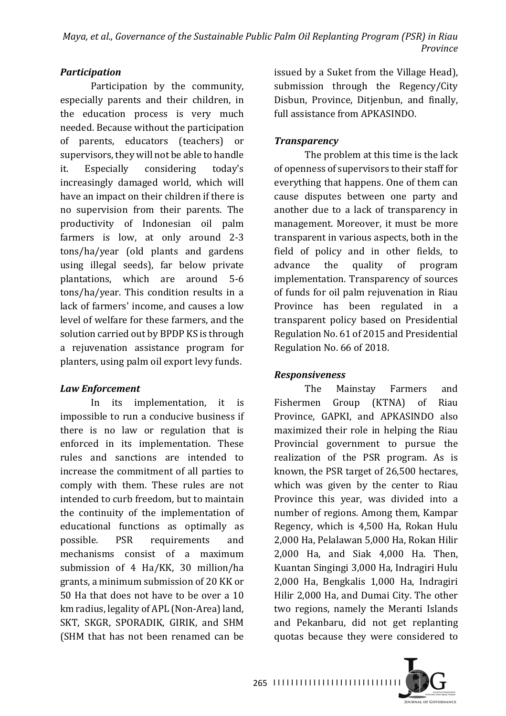# *Participation*

Participation by the community, especially parents and their children, in the education process is very much needed. Because without the participation of parents, educators (teachers) or supervisors, they will not be able to handle it. Especially considering today's increasingly damaged world, which will have an impact on their children if there is no supervision from their parents. The productivity of Indonesian oil palm farmers is low, at only around 2-3 tons/ha/year (old plants and gardens using illegal seeds), far below private plantations, which are around 5-6 tons/ha/year. This condition results in a lack of farmers' income, and causes a low level of welfare for these farmers, and the solution carried out by BPDP KS is through a rejuvenation assistance program for planters, using palm oil export levy funds.

# *Law Enforcement*

In its implementation, it is impossible to run a conducive business if there is no law or regulation that is enforced in its implementation. These rules and sanctions are intended to increase the commitment of all parties to comply with them. These rules are not intended to curb freedom, but to maintain the continuity of the implementation of educational functions as optimally as possible. PSR requirements and mechanisms consist of a maximum submission of 4 Ha/KK, 30 million/ha grants, a minimum submission of 20 KK or 50 Ha that does not have to be over a 10 km radius, legality of APL (Non-Area) land, SKT, SKGR, SPORADIK, GIRIK, and SHM (SHM that has not been renamed can be

issued by a Suket from the Village Head), submission through the Regency/City Disbun, Province, Ditjenbun, and finally, full assistance from APKASINDO.

# *Transparency*

The problem at this time is the lack of openness of supervisors to their staff for everything that happens. One of them can cause disputes between one party and another due to a lack of transparency in management. Moreover, it must be more transparent in various aspects, both in the field of policy and in other fields, to advance the quality of program implementation. Transparency of sources of funds for oil palm rejuvenation in Riau Province has been regulated in a transparent policy based on Presidential Regulation No. 61 of 2015 and Presidential Regulation No. 66 of 2018.

## *Responsiveness*

The Mainstay Farmers and Fishermen Group (KTNA) of Riau Province, GAPKI, and APKASINDO also maximized their role in helping the Riau Provincial government to pursue the realization of the PSR program. As is known, the PSR target of 26,500 hectares, which was given by the center to Riau Province this year, was divided into a number of regions. Among them, Kampar Regency, which is 4,500 Ha, Rokan Hulu 2,000 Ha, Pelalawan 5,000 Ha, Rokan Hilir 2,000 Ha, and Siak 4,000 Ha. Then, Kuantan Singingi 3,000 Ha, Indragiri Hulu 2,000 Ha, Bengkalis 1,000 Ha, Indragiri Hilir 2,000 Ha, and Dumai City. The other two regions, namely the Meranti Islands and Pekanbaru, did not get replanting quotas because they were considered to

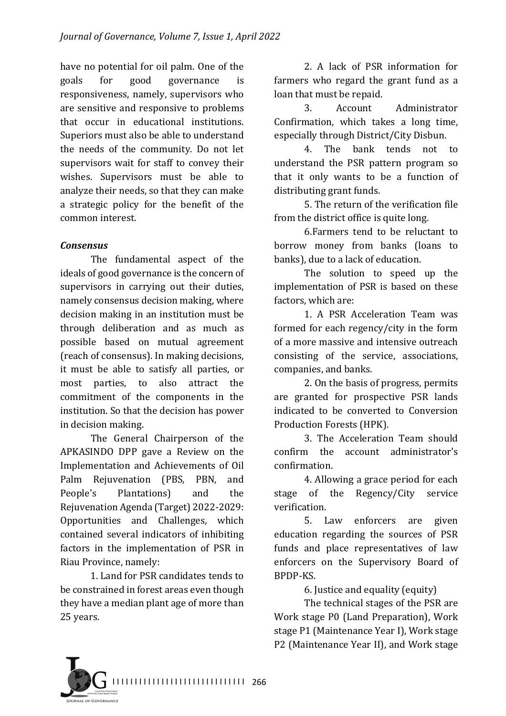have no potential for oil palm. One of the goals for good governance is responsiveness, namely, supervisors who are sensitive and responsive to problems that occur in educational institutions. Superiors must also be able to understand the needs of the community. Do not let supervisors wait for staff to convey their wishes. Supervisors must be able to analyze their needs, so that they can make a strategic policy for the benefit of the common interest.

#### *Consensus*

The fundamental aspect of the ideals of good governance is the concern of supervisors in carrying out their duties, namely consensus decision making, where decision making in an institution must be through deliberation and as much as possible based on mutual agreement (reach of consensus). In making decisions, it must be able to satisfy all parties, or most parties, to also attract the commitment of the components in the institution. So that the decision has power in decision making.

The General Chairperson of the APKASINDO DPP gave a Review on the Implementation and Achievements of Oil Palm Rejuvenation (PBS, PBN, and People's Plantations) and the Rejuvenation Agenda (Target) 2022-2029: Opportunities and Challenges, which contained several indicators of inhibiting factors in the implementation of PSR in Riau Province, namely:

1. Land for PSR candidates tends to be constrained in forest areas even though they have a median plant age of more than 25 years.

2. A lack of PSR information for farmers who regard the grant fund as a loan that must be repaid.

3. Account Administrator Confirmation, which takes a long time, especially through District/City Disbun.

4. The bank tends not to understand the PSR pattern program so that it only wants to be a function of distributing grant funds.

5. The return of the verification file from the district office is quite long.

6. Farmers tend to be reluctant to borrow money from banks (loans to banks), due to a lack of education.

The solution to speed up the implementation of PSR is based on these factors, which are:

1. A PSR Acceleration Team was formed for each regency/city in the form of a more massive and intensive outreach consisting of the service, associations, companies, and banks.

2. On the basis of progress, permits are granted for prospective PSR lands indicated to be converted to Conversion Production Forests (HPK).

3. The Acceleration Team should confirm the account administrator's confirmation.

4. Allowing a grace period for each stage of the Regency/City service verification.

5. Law enforcers are given education regarding the sources of PSR funds and place representatives of law enforcers on the Supervisory Board of BPDP-KS.

6. Justice and equality (equity)

The technical stages of the PSR are Work stage P0 (Land Preparation), Work stage P1 (Maintenance Year I), Work stage P2 (Maintenance Year II), and Work stage

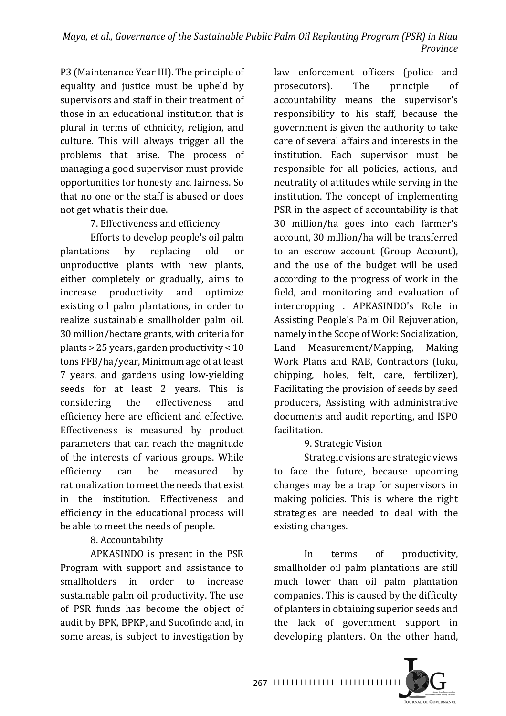P3 (Maintenance Year III). The principle of equality and justice must be upheld by supervisors and staff in their treatment of those in an educational institution that is plural in terms of ethnicity, religion, and culture. This will always trigger all the problems that arise. The process of managing a good supervisor must provide opportunities for honesty and fairness. So that no one or the staff is abused or does not get what is their due.

7. Effectiveness and efficiency

Efforts to develop people's oil palm plantations by replacing old or unproductive plants with new plants, either completely or gradually, aims to increase productivity and optimize existing oil palm plantations, in order to realize sustainable smallholder palm oil. 30 million/hectare grants, with criteria for plants  $>$  25 years, garden productivity  $<$  10 tons FFB/ha/year, Minimum age of at least 7 years, and gardens using low-yielding seeds for at least 2 years. This is considering the effectiveness and efficiency here are efficient and effective. Effectiveness is measured by product parameters that can reach the magnitude of the interests of various groups. While efficiency can be measured by rationalization to meet the needs that exist in the institution. Effectiveness and efficiency in the educational process will be able to meet the needs of people.

8. Accountability

APKASINDO is present in the PSR Program with support and assistance to smallholders in order to increase sustainable palm oil productivity. The use of PSR funds has become the object of audit by BPK, BPKP, and Sucofindo and, in some areas, is subject to investigation by law enforcement officers (police and prosecutors). The principle of accountability means the supervisor's responsibility to his staff, because the government is given the authority to take care of several affairs and interests in the institution. Each supervisor must be responsible for all policies, actions, and neutrality of attitudes while serving in the institution. The concept of implementing PSR in the aspect of accountability is that 30 million/ha goes into each farmer's account, 30 million/ha will be transferred to an escrow account (Group Account), and the use of the budget will be used according to the progress of work in the field, and monitoring and evaluation of intercropping . APKASINDO's Role in Assisting People's Palm Oil Rejuvenation, namely in the Scope of Work: Socialization, Land Measurement/Mapping, Making Work Plans and RAB, Contractors (luku, chipping, holes, felt, care, fertilizer), Facilitating the provision of seeds by seed producers, Assisting with administrative documents and audit reporting, and ISPO facilitation.

## 9. Strategic Vision

Strategic visions are strategic views to face the future, because upcoming changes may be a trap for supervisors in making policies. This is where the right strategies are needed to deal with the existing changes.

In terms of productivity, smallholder oil palm plantations are still much lower than oil palm plantation companies. This is caused by the difficulty of planters in obtaining superior seeds and the lack of government support in developing planters. On the other hand,

JOURNAL OF GOVERNANCE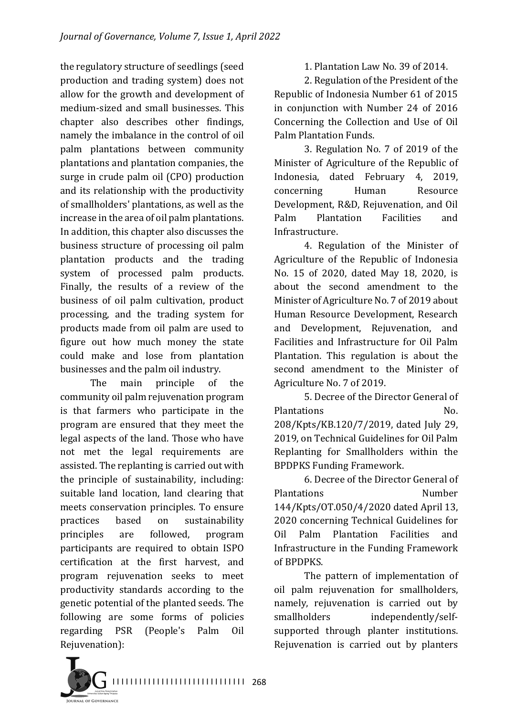the regulatory structure of seedlings (seed production and trading system) does not allow for the growth and development of medium-sized and small businesses. This chapter also describes other findings, namely the imbalance in the control of oil palm plantations between community plantations and plantation companies, the surge in crude palm oil (CPO) production and its relationship with the productivity of smallholders' plantations, as well as the increase in the area of oil palm plantations. In addition, this chapter also discusses the business structure of processing oil palm plantation products and the trading system of processed palm products. Finally, the results of a review of the business of oil palm cultivation, product processing, and the trading system for products made from oil palm are used to figure out how much money the state could make and lose from plantation businesses and the palm oil industry.

The main principle of the community oil palm rejuvenation program is that farmers who participate in the program are ensured that they meet the legal aspects of the land. Those who have not met the legal requirements are assisted. The replanting is carried out with the principle of sustainability, including: suitable land location, land clearing that meets conservation principles. To ensure practices based on sustainability principles are followed, program participants are required to obtain ISPO certification at the first harvest, and program rejuvenation seeks to meet productivity standards according to the genetic potential of the planted seeds. The following are some forms of policies regarding PSR (People's Palm Oil Rejuvenation):

1. Plantation Law No. 39 of 2014.

2. Regulation of the President of the Republic of Indonesia Number 61 of 2015 in conjunction with Number 24 of 2016 Concerning the Collection and Use of Oil Palm Plantation Funds.

3. Regulation No. 7 of 2019 of the Minister of Agriculture of the Republic of Indonesia, dated February 4, 2019, concerning Human Resource Development, R&D, Rejuvenation, and Oil Palm Plantation Facilities and Infrastructure.

4. Regulation of the Minister of Agriculture of the Republic of Indonesia No. 15 of 2020, dated May 18, 2020, is about the second amendment to the Minister of Agriculture No. 7 of 2019 about Human Resource Development, Research and Development, Rejuvenation, and Facilities and Infrastructure for Oil Palm Plantation. This regulation is about the second amendment to the Minister of Agriculture No. 7 of 2019.

5. Decree of the Director General of Plantations No. 208/Kpts/KB.120/7/2019, dated July 29, 2019, on Technical Guidelines for Oil Palm Replanting for Smallholders within the **BPDPKS Funding Framework.** 

6. Decree of the Director General of Plantations **Number** 144/Kpts/0T.050/4/2020 dated April 13, 2020 concerning Technical Guidelines for Oil Palm Plantation Facilities and Infrastructure in the Funding Framework of BPDPKS.

The pattern of implementation of oil palm rejuvenation for smallholders, namely, rejuvenation is carried out by smallholders independently/selfsupported through planter institutions. Rejuvenation is carried out by planters

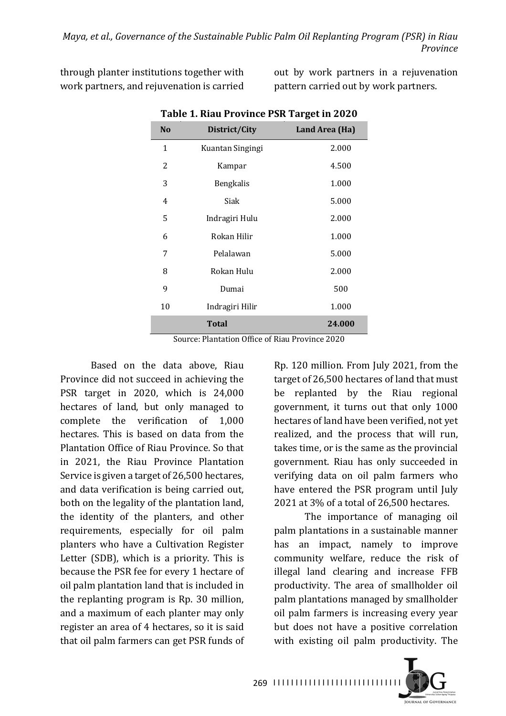through planter institutions together with work partners, and rejuvenation is carried

out by work partners in a rejuvenation pattern carried out by work partners.

| Table 1. May 110VINCE F3N Target III 2020 |                  |                |
|-------------------------------------------|------------------|----------------|
| N <sub>o</sub>                            | District/City    | Land Area (Ha) |
| 1                                         | Kuantan Singingi | 2.000          |
| 2                                         | Kampar           | 4.500          |
| 3                                         | <b>Bengkalis</b> | 1.000          |
| 4                                         | Siak             | 5.000          |
| 5                                         | Indragiri Hulu   | 2.000          |
| 6                                         | Rokan Hilir      | 1.000          |
| 7                                         | Pelalawan        | 5.000          |
| 8                                         | Rokan Hulu       | 2.000          |
| 9                                         | Dumai            | 500            |
| 10                                        | Indragiri Hilir  | 1.000          |
|                                           | <b>Total</b>     | 24.000         |

Table 1. Diau Drovince **DCD** Target in 2020

Source: Plantation Office of Riau Province 2020

Based on the data above, Riau Province did not succeed in achieving the PSR target in  $2020$ , which is  $24,000$ hectares of land, but only managed to complete the verification of 1,000 hectares. This is based on data from the Plantation Office of Riau Province. So that in 2021, the Riau Province Plantation Service is given a target of 26,500 hectares, and data verification is being carried out, both on the legality of the plantation land, the identity of the planters, and other requirements, especially for oil palm planters who have a Cultivation Register Letter  $(SDB)$ , which is a priority. This is because the PSR fee for every 1 hectare of oil palm plantation land that is included in the replanting program is Rp. 30 million, and a maximum of each planter may only register an area of 4 hectares, so it is said that oil palm farmers can get PSR funds of

Rp. 120 million. From July 2021, from the target of 26,500 hectares of land that must be replanted by the Riau regional government, it turns out that only 1000 hectares of land have been verified, not yet realized, and the process that will run. takes time, or is the same as the provincial government. Riau has only succeeded in verifying data on oil palm farmers who have entered the PSR program until July 2021 at 3% of a total of 26,500 hectares.

The importance of managing oil palm plantations in a sustainable manner has an impact, namely to improve community welfare, reduce the risk of illegal land clearing and increase FFB productivity. The area of smallholder oil palm plantations managed by smallholder oil palm farmers is increasing every year but does not have a positive correlation with existing oil palm productivity. The

JOURNAL OF GOVERNANCE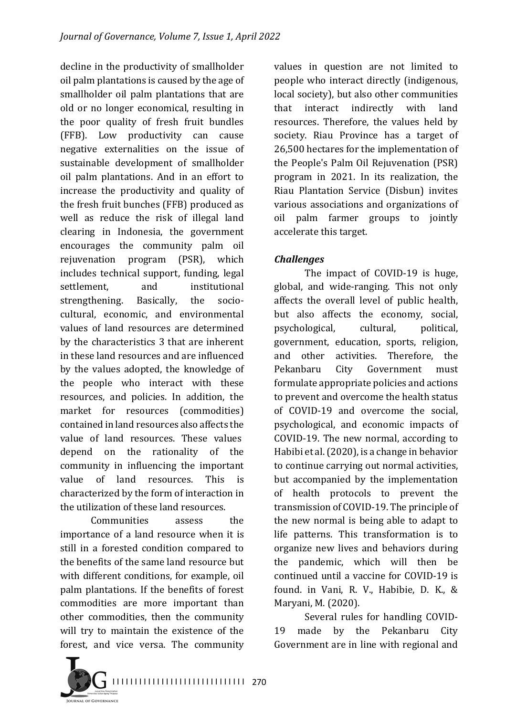decline in the productivity of smallholder oil palm plantations is caused by the age of smallholder oil palm plantations that are old or no longer economical, resulting in the poor quality of fresh fruit bundles (FFB). Low productivity can cause negative externalities on the issue of sustainable development of smallholder oil palm plantations. And in an effort to increase the productivity and quality of the fresh fruit bunches (FFB) produced as well as reduce the risk of illegal land clearing in Indonesia, the government encourages the community palm oil rejuvenation program (PSR), which includes technical support, funding, legal settlement, and institutional strengthening. Basically, the sociocultural, economic, and environmental values of land resources are determined by the characteristics 3 that are inherent in these land resources and are influenced by the values adopted, the knowledge of the people who interact with these resources, and policies. In addition, the market for resources (commodities) contained in land resources also affects the value of land resources. These values depend on the rationality of the community in influencing the important value of land resources. This is characterized by the form of interaction in the utilization of these land resources.

Communities assess the importance of a land resource when it is still in a forested condition compared to the benefits of the same land resource but with different conditions, for example, oil palm plantations. If the benefits of forest commodities are more important than other commodities, then the community will try to maintain the existence of the forest, and vice versa. The community

values in question are not limited to people who interact directly (indigenous, local society), but also other communities that interact indirectly with land resources. Therefore, the values held by society. Riau Province has a target of 26,500 hectares for the implementation of the People's Palm Oil Rejuvenation (PSR) program in 2021. In its realization, the Riau Plantation Service (Disbun) invites various associations and organizations of oil palm farmer groups to jointly accelerate this target.

## *Challenges*

The impact of COVID-19 is huge, global, and wide-ranging. This not only affects the overall level of public health, but also affects the economy, social, psychological, cultural, political, government, education, sports, religion, and other activities. Therefore, the Pekanbaru City Government must formulate appropriate policies and actions to prevent and overcome the health status of COVID-19 and overcome the social, psychological, and economic impacts of COVID-19. The new normal, according to Habibi et al.  $(2020)$ , is a change in behavior to continue carrying out normal activities, but accompanied by the implementation of health protocols to prevent the transmission of COVID-19. The principle of the new normal is being able to adapt to life patterns. This transformation is to organize new lives and behaviors during the pandemic, which will then be continued until a vaccine for COVID-19 is found. in Vani, R. V., Habibie, D. K., & Maryani, M. (2020).

Several rules for handling COVID-19 made by the Pekanbaru City Government are in line with regional and

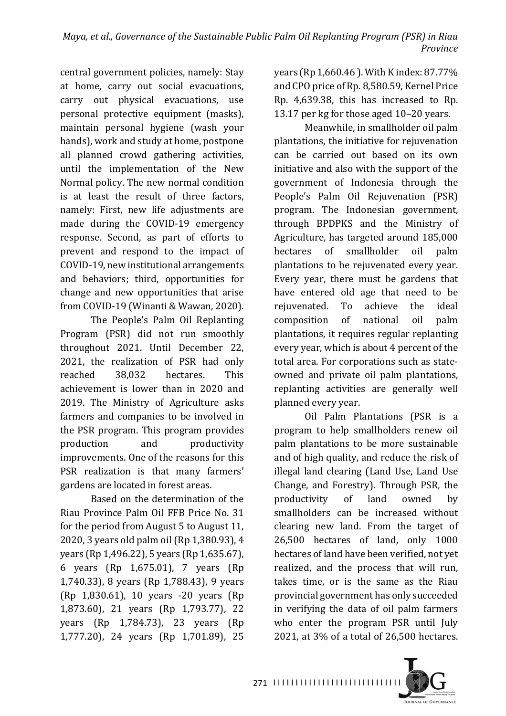central government policies, namely: Stay at home, carry out social evacuations, carry out physical evacuations, use personal protective equipment (masks), maintain personal hygiene (wash your hands), work and study at home, postpone all planned crowd gathering activities, until the implementation of the New Normal policy. The new normal condition is at least the result of three factors, namely: First, new life adjustments are made during the COVID-19 emergency response. Second, as part of efforts to prevent and respond to the impact of COVID-19, new institutional arrangements and behaviors; third, opportunities for change and new opportunities that arise from COVID-19 (Winanti & Wawan, 2020).

The People's Palm Oil Replanting Program (PSR) did not run smoothly throughout 2021. Until December 22, 2021, the realization of PSR had only reached 38,032 hectares. This achievement is lower than in 2020 and 2019. The Ministry of Agriculture asks farmers and companies to be involved in the PSR program. This program provides production and productivity improvements. One of the reasons for this PSR realization is that many farmers' gardens are located in forest areas.

Based on the determination of the Riau Province Palm Oil FFB Price No. 31 for the period from August 5 to August 11, 2020, 3 years old palm oil (Rp 1,380.93), 4 years (Rp 1,496.22), 5 years (Rp 1,635.67), 6 years (Rp 1,675.01), 7 years (Rp 1,740,33), 8 years (Rp 1,788,43), 9 years (Rp 1,830.61), 10 years -20 years (Rp 1,873.60), 21 years (Rp 1,793.77), 22 years (Rp 1,784.73), 23 years (Rp 1,777.20), 24 years (Rp 1,701.89), 25 

vears (Rp 1,660.46). With K index:  $87.77\%$ and CPO price of Rp. 8,580.59, Kernel Price Rp. 4,639.38, this has increased to Rp. 13.17 per kg for those aged 10–20 years.

Meanwhile, in smallholder oil palm plantations, the initiative for rejuvenation can be carried out based on its own initiative and also with the support of the government of Indonesia through the People's Palm Oil Rejuvenation (PSR) program. The Indonesian government, through BPDPKS and the Ministry of Agriculture, has targeted around 185,000 hectares of smallholder oil palm plantations to be rejuvenated every year. Every year, there must be gardens that have entered old age that need to be rejuvenated. To achieve the ideal composition of national oil palm plantations, it requires regular replanting every year, which is about 4 percent of the total area. For corporations such as stateowned and private oil palm plantations, replanting activities are generally well planned every year.

Oil Palm Plantations (PSR is a program to help smallholders renew oil palm plantations to be more sustainable and of high quality, and reduce the risk of illegal land clearing (Land Use, Land Use Change, and Forestry). Through PSR, the productivity of land owned by smallholders can be increased without clearing new land. From the target of 26,500 hectares of land, only 1000 hectares of land have been verified, not yet realized, and the process that will run, takes time, or is the same as the Riau provincial government has only succeeded in verifying the data of oil palm farmers who enter the program PSR until July 2021, at  $3\%$  of a total of  $26,500$  hectares.

JOURNAL OF GOVERNANCE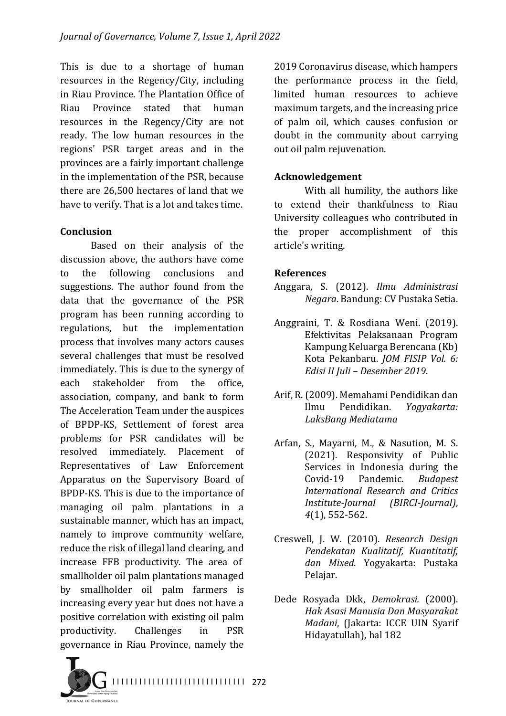This is due to a shortage of human resources in the Regency/City, including in Riau Province. The Plantation Office of Riau Province stated that human resources in the Regency/City are not ready. The low human resources in the regions' PSR target areas and in the provinces are a fairly important challenge in the implementation of the PSR, because there are 26,500 hectares of land that we have to verify. That is a lot and takes time.

#### **Conclusion**

Based on their analysis of the discussion above, the authors have come to the following conclusions and suggestions. The author found from the data that the governance of the PSR program has been running according to regulations, but the implementation process that involves many actors causes several challenges that must be resolved immediately. This is due to the synergy of each stakeholder from the office, association, company, and bank to form The Acceleration Team under the auspices of BPDP-KS, Settlement of forest area problems for PSR candidates will be resolved immediately. Placement of Representatives of Law Enforcement Apparatus on the Supervisory Board of BPDP-KS. This is due to the importance of managing oil palm plantations in a sustainable manner, which has an impact, namely to improve community welfare, reduce the risk of illegal land clearing, and increase FFB productivity. The area of smallholder oil palm plantations managed by smallholder oil palm farmers is increasing every year but does not have a positive correlation with existing oil palm productivity. Challenges in PSR governance in Riau Province, namely the

2019 Coronavirus disease, which hampers the performance process in the field, limited human resources to achieve maximum targets, and the increasing price of palm oil, which causes confusion or doubt in the community about carrying out oil palm rejuvenation.

#### **Acknowledgement**

With all humility, the authors like to extend their thankfulness to Riau University colleagues who contributed in the proper accomplishment of this article's writing.

#### **References**

- Anggara, S. (2012). *Ilmu Administrasi Negara*. Bandung: CV Pustaka Setia.
- Anggraini, T. & Rosdiana Weni. (2019). Efektivitas Pelaksanaan Program Kampung Keluarga Berencana (Kb) Kota Pekanbaru. *JOM FISIP Vol. 6: Edisi II Juli – Desember 2019*.
- Arif, R. (2009). Memahami Pendidikan dan Ilmu Pendidikan. *Yogyakarta: LaksBang Mediatama*
- Arfan, S., Mayarni, M., & Nasution, M. S. (2021). Responsivity of Public Services in Indonesia during the Covid-19 Pandemic. *Budapest International Research and Critics Institute-Journal (BIRCI-Journal)*, *4*(1), 552-562.
- Creswell, J. W. (2010). *Research Design Pendekatan Kualitatif, Kuantitatif, dan Mixed*. Yogyakarta: Pustaka Pelajar.
- Dede Rosyada Dkk, *Demokrasi.*  (2000). *Hak Asasi Manusia Dan Masyarakat Madani*, (Jakarta: ICCE UIN Syarif Hidayatullah), hal 182

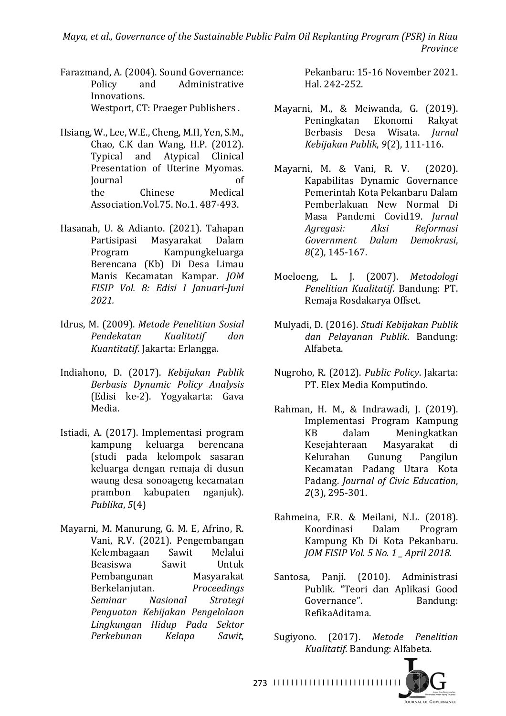*Maya, et al., Governance of the Sustainable Public Palm Oil Replanting Program (PSR) in Riau Province*

- Farazmand, A. (2004). Sound Governance: Policy and Administrative Innovations. Westport, CT: Praeger Publishers.
- Hsiang, W., Lee, W.E., Cheng, M.H, Yen, S.M., Chao, C.K dan Wang, H.P. (2012). Typical and Atypical Clinical Presentation of Uterine Myomas. Journal of the Chinese Medical Association. Vol. 75. No. 1, 487-493.
- Hasanah, U. & Adianto. (2021). Tahapan Partisipasi Masyarakat Dalam Program Kampungkeluarga Berencana (Kb) Di Desa Limau Manis Kecamatan Kampar. *JOM FISIP Vol. 8: Edisi I Januari-Juni 2021.*
- Idrus, M. (2009). *Metode Penelitian Sosial Pendekatan Kualitatif dan Kuantitatif*. Jakarta: Erlangga.
- Indiahono, D. (2017). *Kebijakan Publik Berbasis Dynamic Policy Analysis* (Edisi ke-2). Yogyakarta: Gava Media.
- Istiadi, A. (2017). Implementasi program kampung keluarga berencana (studi pada kelompok sasaran keluarga dengan remaja di dusun waung desa sonoageng kecamatan prambon kabupaten nganjuk). *Publika*, *5*(4)
- Mayarni, M. Manurung, G. M. E, Afrino, R. Vani, R.V. (2021). Pengembangan Kelembagaan Sawit Melalui Beasiswa Sawit Untuk Pembangunan Masyarakat Berkelanjutan. *Proceedings Seminar Nasional Strategi Penguatan Kebijakan Pengelolaan Lingkungan Hidup Pada Sektor Perkebunan Kelapa Sawit*,

Pekanbaru: 15-16 November 2021. Hal. 242-252. 

- Mavarni, M., & Meiwanda, G. (2019). Peningkatan Ekonomi Rakyat Berbasis Desa Wisata. *Jurnal Kebijakan Publik*, *9*(2), 111-116.
- Mayarni, M. & Vani, R. V. (2020). Kapabilitas Dynamic Governance Pemerintah Kota Pekanbaru Dalam Pemberlakuan New Normal Di Masa Pandemi Covid19. *Jurnal Agregasi: Aksi Reformasi Government Dalam Demokrasi*, *8*(2), 145-167.
- Moeloeng, L. J. (2007). *Metodologi Penelitian Kualitatif*. Bandung: PT. Remaja Rosdakarya Offset.
- Mulyadi, D. (2016). *Studi Kebijakan Publik dan Pelayanan Publik*. Bandung: Alfabeta.
- Nugroho, R. (2012). *Public Policy*. Jakarta: PT. Elex Media Komputindo.
- Rahman, H. M., & Indrawadi, J. (2019). Implementasi Program Kampung KB dalam Meningkatkan Kesejahteraan Masyarakat di Kelurahan Gunung Pangilun Kecamatan Padang Utara Kota Padang. *Journal of Civic Education*, *2*(3), 295-301.
- Rahmeina, F.R. & Meilani, N.L. (2018). Koordinasi Dalam Program Kampung Kb Di Kota Pekanbaru. *JOM FISIP Vol. 5 No. 1 \_ April 2018.*
- Santosa, Panii. (2010). Administrasi Publik. "Teori dan Aplikasi Good Governance". Bandung: RefikaAditama.
- Sugiyono. (2017). *Metode Penelitian Kualitatif*. Bandung: Alfabeta.